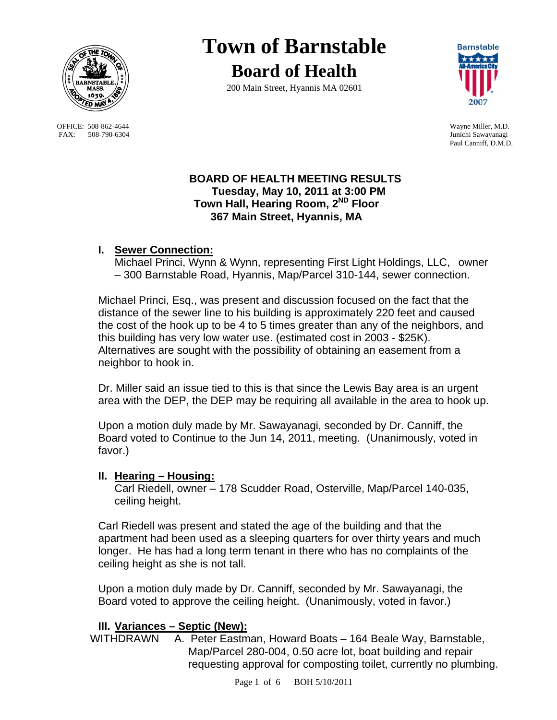

OFFICE: 508-862-4644 Wayne Miller, M.D.<br>
FAX: 508-790-6304 Junichi Sawayanagi FAX: 508-790-6304

# **Town of Barnstable Board of Health**

200 Main Street, Hyannis MA 02601



Paul Canniff, D.M.D.

### **BOARD OF HEALTH MEETING RESULTS Tuesday, May 10, 2011 at 3:00 PM Town Hall, Hearing Room, 2ND Floor 367 Main Street, Hyannis, MA**

# **I. Sewer Connection:**

Michael Princi, Wynn & Wynn, representing First Light Holdings, LLC, owner – 300 Barnstable Road, Hyannis, Map/Parcel 310-144, sewer connection.

Michael Princi, Esq., was present and discussion focused on the fact that the distance of the sewer line to his building is approximately 220 feet and caused the cost of the hook up to be 4 to 5 times greater than any of the neighbors, and this building has very low water use. (estimated cost in 2003 - \$25K). Alternatives are sought with the possibility of obtaining an easement from a neighbor to hook in.

Dr. Miller said an issue tied to this is that since the Lewis Bay area is an urgent area with the DEP, the DEP may be requiring all available in the area to hook up.

Upon a motion duly made by Mr. Sawayanagi, seconded by Dr. Canniff, the Board voted to Continue to the Jun 14, 2011, meeting. (Unanimously, voted in favor.)

## **II. Hearing – Housing:**

Carl Riedell, owner – 178 Scudder Road, Osterville, Map/Parcel 140-035, ceiling height.

Carl Riedell was present and stated the age of the building and that the apartment had been used as a sleeping quarters for over thirty years and much longer. He has had a long term tenant in there who has no complaints of the ceiling height as she is not tall.

Upon a motion duly made by Dr. Canniff, seconded by Mr. Sawayanagi, the Board voted to approve the ceiling height. (Unanimously, voted in favor.)

# **III. Variances – Septic (New):**

WITHDRAWN A. Peter Eastman, Howard Boats - 164 Beale Way, Barnstable, Map/Parcel 280-004, 0.50 acre lot, boat building and repair requesting approval for composting toilet, currently no plumbing.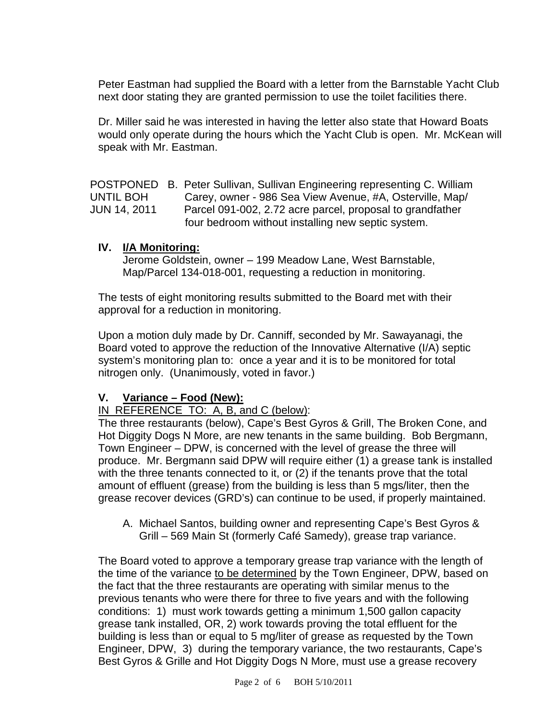Peter Eastman had supplied the Board with a letter from the Barnstable Yacht Club next door stating they are granted permission to use the toilet facilities there.

Dr. Miller said he was interested in having the letter also state that Howard Boats would only operate during the hours which the Yacht Club is open. Mr. McKean will speak with Mr. Eastman.

POSTPONED B. Peter Sullivan, Sullivan Engineering representing C. William UNTIL BOH Carey, owner - 986 Sea View Avenue, #A, Osterville, Map/ JUN 14, 2011 Parcel 091-002, 2.72 acre parcel, proposal to grandfather four bedroom without installing new septic system.

#### **IV. I/A Monitoring:**

Jerome Goldstein, owner – 199 Meadow Lane, West Barnstable, Map/Parcel 134-018-001, requesting a reduction in monitoring.

The tests of eight monitoring results submitted to the Board met with their approval for a reduction in monitoring.

Upon a motion duly made by Dr. Canniff, seconded by Mr. Sawayanagi, the Board voted to approve the reduction of the Innovative Alternative (I/A) septic system's monitoring plan to: once a year and it is to be monitored for total nitrogen only. (Unanimously, voted in favor.)

## **V. Variance – Food (New):**

IN REFERENCE TO: A, B, and C (below):

The three restaurants (below), Cape's Best Gyros & Grill, The Broken Cone, and Hot Diggity Dogs N More, are new tenants in the same building. Bob Bergmann, Town Engineer – DPW, is concerned with the level of grease the three will produce. Mr. Bergmann said DPW will require either (1) a grease tank is installed with the three tenants connected to it, or (2) if the tenants prove that the total amount of effluent (grease) from the building is less than 5 mgs/liter, then the grease recover devices (GRD's) can continue to be used, if properly maintained.

A. Michael Santos, building owner and representing Cape's Best Gyros & Grill – 569 Main St (formerly Café Samedy), grease trap variance.

The Board voted to approve a temporary grease trap variance with the length of the time of the variance to be determined by the Town Engineer, DPW, based on the fact that the three restaurants are operating with similar menus to the previous tenants who were there for three to five years and with the following conditions: 1) must work towards getting a minimum 1,500 gallon capacity grease tank installed, OR, 2) work towards proving the total effluent for the building is less than or equal to 5 mg/liter of grease as requested by the Town Engineer, DPW, 3) during the temporary variance, the two restaurants, Cape's Best Gyros & Grille and Hot Diggity Dogs N More, must use a grease recovery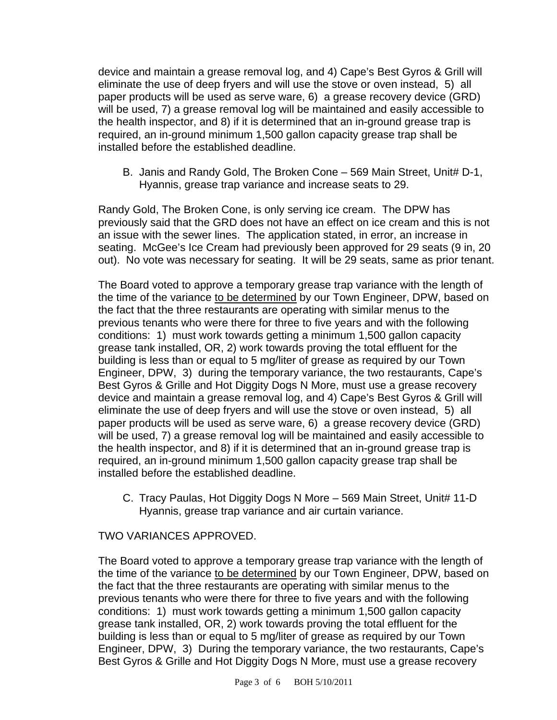device and maintain a grease removal log, and 4) Cape's Best Gyros & Grill will eliminate the use of deep fryers and will use the stove or oven instead, 5) all paper products will be used as serve ware, 6) a grease recovery device (GRD) will be used, 7) a grease removal log will be maintained and easily accessible to the health inspector, and 8) if it is determined that an in-ground grease trap is required, an in-ground minimum 1,500 gallon capacity grease trap shall be installed before the established deadline.

B. Janis and Randy Gold, The Broken Cone – 569 Main Street, Unit# D-1, Hyannis, grease trap variance and increase seats to 29.

Randy Gold, The Broken Cone, is only serving ice cream. The DPW has previously said that the GRD does not have an effect on ice cream and this is not an issue with the sewer lines. The application stated, in error, an increase in seating. McGee's Ice Cream had previously been approved for 29 seats (9 in, 20 out). No vote was necessary for seating. It will be 29 seats, same as prior tenant.

The Board voted to approve a temporary grease trap variance with the length of the time of the variance to be determined by our Town Engineer, DPW, based on the fact that the three restaurants are operating with similar menus to the previous tenants who were there for three to five years and with the following conditions: 1) must work towards getting a minimum 1,500 gallon capacity grease tank installed, OR, 2) work towards proving the total effluent for the building is less than or equal to 5 mg/liter of grease as required by our Town Engineer, DPW, 3) during the temporary variance, the two restaurants, Cape's Best Gyros & Grille and Hot Diggity Dogs N More, must use a grease recovery device and maintain a grease removal log, and 4) Cape's Best Gyros & Grill will eliminate the use of deep fryers and will use the stove or oven instead, 5) all paper products will be used as serve ware, 6) a grease recovery device (GRD) will be used, 7) a grease removal log will be maintained and easily accessible to the health inspector, and 8) if it is determined that an in-ground grease trap is required, an in-ground minimum 1,500 gallon capacity grease trap shall be installed before the established deadline.

C. Tracy Paulas, Hot Diggity Dogs N More – 569 Main Street, Unit# 11-D Hyannis, grease trap variance and air curtain variance.

#### TWO VARIANCES APPROVED.

The Board voted to approve a temporary grease trap variance with the length of the time of the variance to be determined by our Town Engineer, DPW, based on the fact that the three restaurants are operating with similar menus to the previous tenants who were there for three to five years and with the following conditions: 1) must work towards getting a minimum 1,500 gallon capacity grease tank installed, OR, 2) work towards proving the total effluent for the building is less than or equal to 5 mg/liter of grease as required by our Town Engineer, DPW, 3) During the temporary variance, the two restaurants, Cape's Best Gyros & Grille and Hot Diggity Dogs N More, must use a grease recovery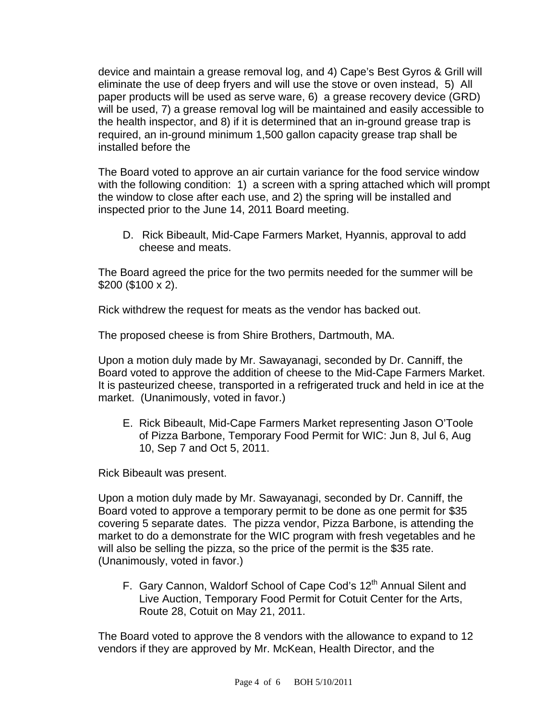device and maintain a grease removal log, and 4) Cape's Best Gyros & Grill will eliminate the use of deep fryers and will use the stove or oven instead, 5) All paper products will be used as serve ware, 6) a grease recovery device (GRD) will be used, 7) a grease removal log will be maintained and easily accessible to the health inspector, and 8) if it is determined that an in-ground grease trap is required, an in-ground minimum 1,500 gallon capacity grease trap shall be installed before the

The Board voted to approve an air curtain variance for the food service window with the following condition: 1) a screen with a spring attached which will prompt the window to close after each use, and 2) the spring will be installed and inspected prior to the June 14, 2011 Board meeting.

D. Rick Bibeault, Mid-Cape Farmers Market, Hyannis, approval to add cheese and meats.

The Board agreed the price for the two permits needed for the summer will be \$200 (\$100 x 2).

Rick withdrew the request for meats as the vendor has backed out.

The proposed cheese is from Shire Brothers, Dartmouth, MA.

Upon a motion duly made by Mr. Sawayanagi, seconded by Dr. Canniff, the Board voted to approve the addition of cheese to the Mid-Cape Farmers Market. It is pasteurized cheese, transported in a refrigerated truck and held in ice at the market. (Unanimously, voted in favor.)

E. Rick Bibeault, Mid-Cape Farmers Market representing Jason O'Toole of Pizza Barbone, Temporary Food Permit for WIC: Jun 8, Jul 6, Aug 10, Sep 7 and Oct 5, 2011.

Rick Bibeault was present.

Upon a motion duly made by Mr. Sawayanagi, seconded by Dr. Canniff, the Board voted to approve a temporary permit to be done as one permit for \$35 covering 5 separate dates. The pizza vendor, Pizza Barbone, is attending the market to do a demonstrate for the WIC program with fresh vegetables and he will also be selling the pizza, so the price of the permit is the \$35 rate. (Unanimously, voted in favor.)

F. Gary Cannon, Waldorf School of Cape Cod's 12<sup>th</sup> Annual Silent and Live Auction, Temporary Food Permit for Cotuit Center for the Arts, Route 28, Cotuit on May 21, 2011.

The Board voted to approve the 8 vendors with the allowance to expand to 12 vendors if they are approved by Mr. McKean, Health Director, and the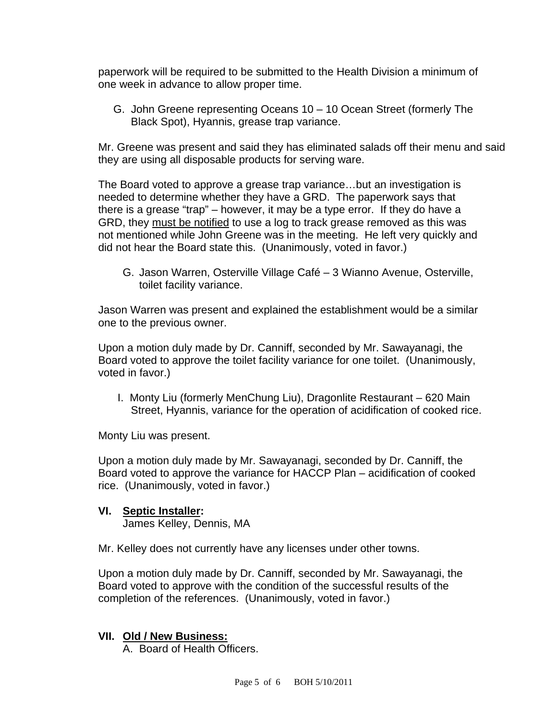paperwork will be required to be submitted to the Health Division a minimum of one week in advance to allow proper time.

G. John Greene representing Oceans 10 – 10 Ocean Street (formerly The Black Spot), Hyannis, grease trap variance.

Mr. Greene was present and said they has eliminated salads off their menu and said they are using all disposable products for serving ware.

The Board voted to approve a grease trap variance…but an investigation is needed to determine whether they have a GRD. The paperwork says that there is a grease "trap" – however, it may be a type error. If they do have a GRD, they must be notified to use a log to track grease removed as this was not mentioned while John Greene was in the meeting. He left very quickly and did not hear the Board state this. (Unanimously, voted in favor.)

G. Jason Warren, Osterville Village Café – 3 Wianno Avenue, Osterville, toilet facility variance.

Jason Warren was present and explained the establishment would be a similar one to the previous owner.

Upon a motion duly made by Dr. Canniff, seconded by Mr. Sawayanagi, the Board voted to approve the toilet facility variance for one toilet. (Unanimously, voted in favor.)

 I. Monty Liu (formerly MenChung Liu), Dragonlite Restaurant – 620 Main Street, Hyannis, variance for the operation of acidification of cooked rice.

Monty Liu was present.

Upon a motion duly made by Mr. Sawayanagi, seconded by Dr. Canniff, the Board voted to approve the variance for HACCP Plan – acidification of cooked rice. (Unanimously, voted in favor.)

# **VI. Septic Installer:**

James Kelley, Dennis, MA

Mr. Kelley does not currently have any licenses under other towns.

Upon a motion duly made by Dr. Canniff, seconded by Mr. Sawayanagi, the Board voted to approve with the condition of the successful results of the completion of the references. (Unanimously, voted in favor.)

#### **VII. Old / New Business:**

A. Board of Health Officers.